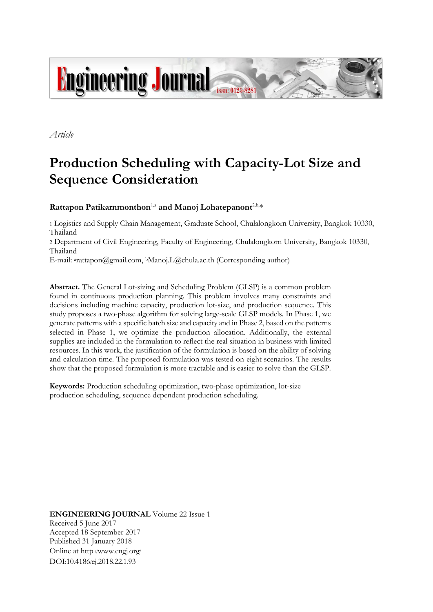

*Article*

# **Production Scheduling with Capacity-Lot Size and Sequence Consideration**

## **Rattapon Patikarnmonthon**1,a **and Manoj Lohatepanont**2,b, \*

1 Logistics and Supply Chain Management, Graduate School, Chulalongkorn University, Bangkok 10330, Thailand

<sup>2</sup> Department of Civil Engineering, Faculty of Engineering, Chulalongkorn University, Bangkok 10330, Thailand

E-mail: <sup>a</sup>[rattapon@gmail](mailto:Manoj.L@chula.ac.th).com, <sup>b</sup>Manoj.[L@chula](mailto:Manoj.L@chula.ac.th).ac.th (Corresponding author)

**Abstract.** The General Lot-sizing and Scheduling Problem (GLSP) is a common problem found in continuous production planning. This problem involves many constraints and decisions including machine capacity, production lot-size, and production sequence. This study proposes a two-phase algorithm for solving large-scale GLSP models. In Phase 1, we generate patterns with a specific batch size and capacity and in Phase 2, based on the patterns selected in Phase 1, we optimize the production allocation. Additionally, the external supplies are included in the formulation to reflect the real situation in business with limited resources. In this work, the justification of the formulation is based on the ability of solving and calculation time. The proposed formulation was tested on eight scenarios. The results show that the proposed formulation is more tractable and is easier to solve than the GLSP.

**Keywords:** Production scheduling optimization, two-phase optimization, lot-size production scheduling, sequence dependent production scheduling.

**ENGINEERING JOURNAL** Volume 22 Issue 1 Received 5 June 2017 Accepted 18 September 2017 Published 31 January 2018 Online at http://www.engj.org/ DOI:10.4186/ej.2018.22.1.93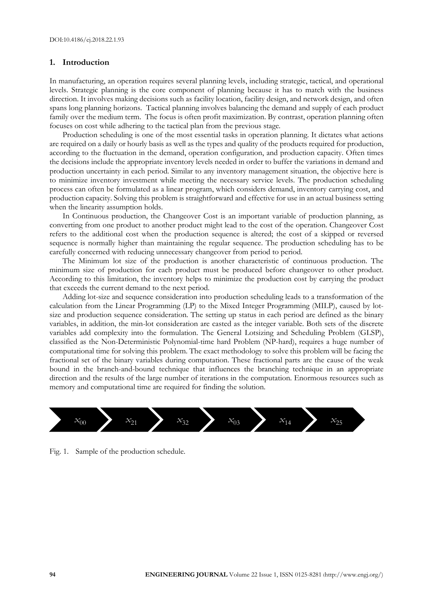#### **1. Introduction**

In manufacturing, an operation requires several planning levels, including strategic, tactical, and operational levels. Strategic planning is the core component of planning because it has to match with the business direction. It involves making decisions such as facility location, facility design, and network design, and often spans long planning horizons. Tactical planning involves balancing the demand and supply of each product family over the medium term. The focus is often profit maximization. By contrast, operation planning often focuses on cost while adhering to the tactical plan from the previous stage.

Production scheduling is one of the most essential tasks in operation planning. It dictates what actions are required on a daily or hourly basis as well as the types and quality of the products required for production, according to the fluctuation in the demand, operation configuration, and production capacity. Often times the decisions include the appropriate inventory levels needed in order to buffer the variations in demand and production uncertainty in each period. Similar to any inventory management situation, the objective here is to minimize inventory investment while meeting the necessary service levels. The production scheduling process can often be formulated as a linear program, which considers demand, inventory carrying cost, and production capacity. Solving this problem is straightforward and effective for use in an actual business setting when the linearity assumption holds.

In Continuous production, the Changeover Cost is an important variable of production planning, as converting from one product to another product might lead to the cost of the operation. Changeover Cost refers to the additional cost when the production sequence is altered; the cost of a skipped or reversed sequence is normally higher than maintaining the regular sequence. The production scheduling has to be carefully concerned with reducing unnecessary changeover from period to period.

The Minimum lot size of the production is another characteristic of continuous production. The minimum size of production for each product must be produced before changeover to other product. According to this limitation, the inventory helps to minimize the production cost by carrying the product that exceeds the current demand to the next period.

Adding lot-size and sequence consideration into production scheduling leads to a transformation of the calculation from the Linear Programming (LP) to the Mixed Integer Programming (MILP), caused by lotsize and production sequence consideration. The setting up status in each period are defined as the binary variables, in addition, the min-lot consideration are casted as the integer variable. Both sets of the discrete variables add complexity into the formulation. The General Lotsizing and Scheduling Problem (GLSP), classified as the Non-Deterministic Polynomial-time hard Problem (NP-hard), requires a huge number of computational time for solving this problem. The exact methodology to solve this problem will be facing the fractional set of the binary variables during computation. These fractional parts are the cause of the weak bound in the branch-and-bound technique that influences the branching technique in an appropriate direction and the results of the large number of iterations in the computation. Enormous resources such as memory and computational time are required for finding the solution.



Fig. 1. Sample of the production schedule.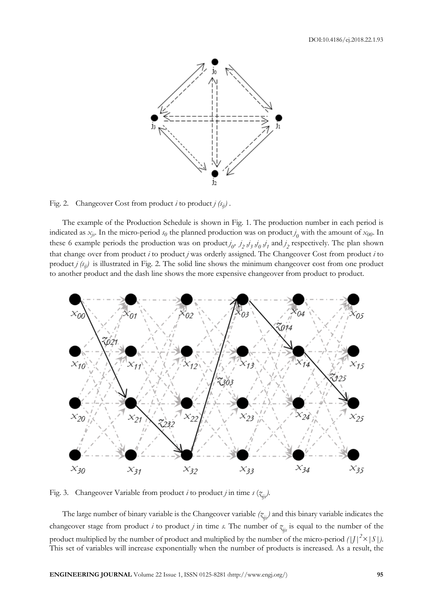

Fig. 2. Changeover Cost from product *i* to product *j*  $(s_{ii})$ .

The example of the Production Schedule is shown in Fig. 1. The production number in each period is indicated as  $x_j$ . In the micro-period  $s_0$  the planned production was on product  $j_0$  with the amount of  $x_{00}$ . In these 6 example periods the production was on product  $j_0$ ,  $j_2$ ,  $j_3$ ,  $j_0$ ,  $j_1$ , and  $j_2$ , respectively. The plan shown that change over from product *i* to product *j* was orderly assigned. The Changeover Cost from product *i* to product  $j$   $(s_{ii})$  is illustrated in Fig. 2. The solid line shows the minimum changeover cost from one product to another product and the dash line shows the more expensive changeover from product to product.



Fig. 3. Changeover Variable from product *i* to product *j* in time *s* ( $z_{ijs}$ ).

The large number of binary variable is the Changeover variable *(z ijs)* and this binary variable indicates the changeover stage from product *i* to product *j* in time *s*. The number of  $z_{ijs}$  is equal to the number of the product multiplied by the number of product and multiplied by the number of the micro-period  $(|J|^2 \times |S|)$ . This set of variables will increase exponentially when the number of products is increased. As a result, the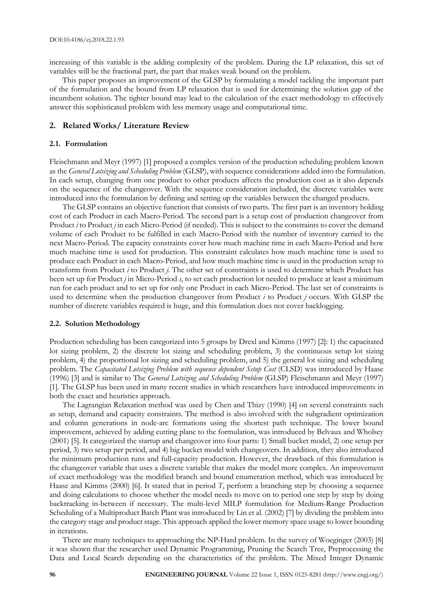increasing of this variable is the adding complexity of the problem. During the LP relaxation, this set of variables will be the fractional part, the part that makes weak bound on the problem.

This paper proposes an improvement of the GLSP by formulating a model tackling the important part of the formulation and the bound from LP relaxation that is used for determining the solution gap of the incumbent solution. The tighter bound may lead to the calculation of the exact methodology to effectively answer this sophisticated problem with less memory usage and computational time.

### **2. Related Works/ Literature Review**

#### **2.1. Formulation**

Fleischmann and Meyr (1997) [1] proposed a complex version of the production scheduling problem known as the *General Lotsizing and Scheduling Problem* (GLSP), with sequence considerations added into the formulation. In each setup, changing from one product to other products affects the production cost as it also depends on the sequence of the changeover. With the sequence consideration included, the discrete variables were introduced into the formulation by defining and setting up the variables between the changed products.

The GLSP contains an objective function that consists of two parts. The first part is an inventory holding cost of each Product in each Macro-Period. The second part is a setup cost of production changeover from Product *i* to Product *j* in each Micro-Period (if needed). This is subject to the constraints to cover the demand volume of each Product to be fulfilled in each Macro-Period with the number of inventory carried to the next Macro-Period. The capacity constraints cover how much machine time in each Macro-Period and how much machine time is used for production. This constraint calculates how much machine time is used to produce each Product in each Macro-Period, and how much machine time is used in the production setup to transform from Product *i* to Product *j*. The other set of constraints is used to determine which Product has been set up for Product *j* in Micro-Period *s*, to set each production lot needed to produce at least a minimum run for each product and to set up for only one Product in each Micro-Period. The last set of constraints is used to determine when the production changeover from Product *i* to Product *j* occurs. With GLSP the number of discrete variables required is huge, and this formulation does not cover backlogging.

#### **2.2. Solution Methodology**

Production scheduling has been categorized into 5 groups by Drexl and Kimms (1997) [2]: 1) the capacitated lot sizing problem, 2) the discrete lot sizing and scheduling problem, 3) the continuous setup lot sizing problem, 4) the proportional lot sizing and scheduling problem, and 5) the general lot sizing and scheduling problem. The *Capacitated Lotsizing Problem with sequence dependent Setup Cost* (CLSD) was introduced by Haase (1996) [3] and is similar to The *General Lotsizing and Scheduling Problem* (GLSP) Fleischmann and Meyr (1997) [1]. The GLSP has been used in many recent studies in which researchers have introduced improvements in both the exact and heuristics approach.

The Lagrangian Relaxation method was used by Chen and Thizy (1990) [4] on several constraints such as setup, demand and capacity constraints. The method is also involved with the subgradient optimization and column generations in node-arc formations using the shortest path technique. The lower bound improvement, achieved by adding cutting plane to the formulation, was introduced by Belvaux and Wholsey (2001) [5]. It categorized the startup and changeover into four parts: 1) Small bucket model, 2) one setup per period, 3) two setup per period, and 4) big bucket model with changeovers. In addition, they also introduced the minimum production runs and full-capacity production. However, the drawback of this formulation is the changeover variable that uses a discrete variable that makes the model more complex. An improvement of exact methodology was the modified branch and bound enumeration method, which was introduced by Haase and Kimms (2000) [6]. It stated that in period *T*, perform a branching step by choosing a sequence and doing calculations to choose whether the model needs to move on to period one step by step by doing backtracking in-between if necessary. The multi-level MILP formulation for Medium-Range Production Scheduling of a Multiproduct Batch Plant was introduced by Lin et al. (2002) [7] by dividing the problem into the category stage and product stage. This approach applied the lower memory space usage to lower bounding in iterations.

There are many techniques to approaching the NP-Hard problem. In the survey of Woeginger (2003) [8] it was shown that the researcher used Dynamic Programming, Pruning the Search Tree, Preprocessing the Data and Local Search depending on the characteristics of the problem. The Mixed Integer Dynamic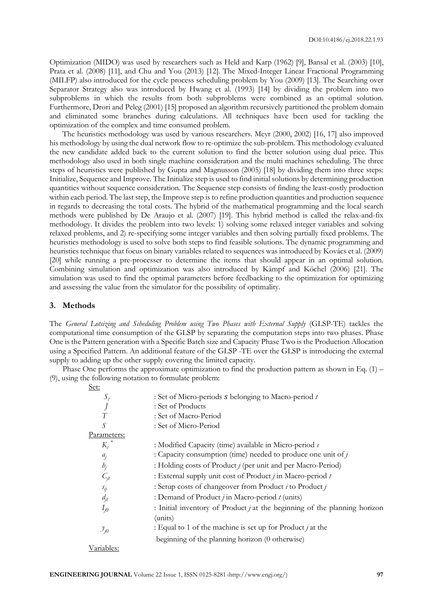Optimization (MIDO) was used by researchers such as Held and Karp (1962) [9], Bansal et al. (2003) [10], Prata et al. (2008) [11], and Chu and You (2013) [12]. The Mixed-Integer Linear Fractional Programming (MILFP) also introduced for the cycle process scheduling problem by You (2009) [13]. The Searching over Separator Strategy also was introduced by Hwang et al. (1993) [14] by dividing the problem into two subproblems in which the results from both subproblems were combined as an optimal solution. Furthermore, Drori and Peleg (2001) [15] proposed an algorithm recursively partitioned the problem domain and eliminated some branches during calculations. All techniques have been used for tackling the optimization of the complex and time consumed problem.

The heuristics methodology was used by various researchers. Meyr (2000, 2002) [16, 17] also improved his methodology by using the dual network flow to re-optimize the sub-problem. This methodology evaluated the new candidate added back to the current solution to find the better solution using dual price. This methodology also used in both single machine consideration and the multi machines scheduling. The three steps of heuristics were published by Gupta and Magnusson (2005) [18] by dividing them into three steps: Initialize, Sequence and Improve. The Initialize step is used to find initial solutions by determining production quantities without sequence consideration. The Sequence step consists of finding the least-costly production within each period. The last step, the Improve step is to refine production quantities and production sequence in regards to decreasing the total costs. The hybrid of the mathematical programming and the local search methods were published by De Araujo et al. (2007) [19]. This hybrid method is called the relax-and-fix methodology. It divides the problem into two levels: 1) solving some relaxed integer variables and solving relaxed problems, and 2) re-specifying some integer variables and then solving partially fixed problems. The heuristics methodology is used to solve both steps to find feasible solutions. The dynamic programming and heuristics technique that focus on binary variables related to sequences was introduced by Kovács et al. (2009) [20] while running a pre-processer to determine the items that should appear in an optimal solution. Combining simulation and optimization was also introduced by Kämpf and Köchel (2006) [21]. The simulation was used to find the optimal parameters before feedbacking to the optimization for optimizing and assessing the value from the simulator for the possibility of optimality.

#### **3. Methods**

The *General Lotsizing and Scheduling Problem using Two Phases with External Supply* (GLSP-TE) tackles the computational time consumption of the GLSP by separating the computation steps into two phases. Phase One is the Pattern generation with a Specific Batch size and Capacity Phase Two is the Production Allocation using a Specified Pattern. An additional feature of the GLSP -TE over the GLSP is introducing the external supply to adding up the other supply covering the limited capacity.

Phase One performs the approximate optimization to find the production pattern as shown in Eq. (1) – (9), using the following notation to formulate problem:

| : Set of Micro-periods $s$ belonging to Macro-period $t$                    |
|-----------------------------------------------------------------------------|
| : Set of Products                                                           |
| : Set of Macro-Period                                                       |
| : Set of Micro-Period                                                       |
|                                                                             |
| : Modified Capacity (time) available in Micro-period s                      |
| : Capacity consumption (time) needed to produce one unit of $j$             |
| : Holding costs of Product <i>j</i> (per unit and per Macro-Period)         |
| : External supply unit cost of Product $j$ in Macro-period $t$              |
| : Setup costs of changeover from Product <i>i</i> to Product <i>j</i>       |
| : Demand of Product $j$ in Macro-period $t$ (units)                         |
| : Initial inventory of Product $j$ at the beginning of the planning horizon |
| (units)                                                                     |
| : Equal to 1 of the machine is set up for Product $i$ at the                |
| beginning of the planning horizon (0 otherwise)                             |
|                                                                             |
|                                                                             |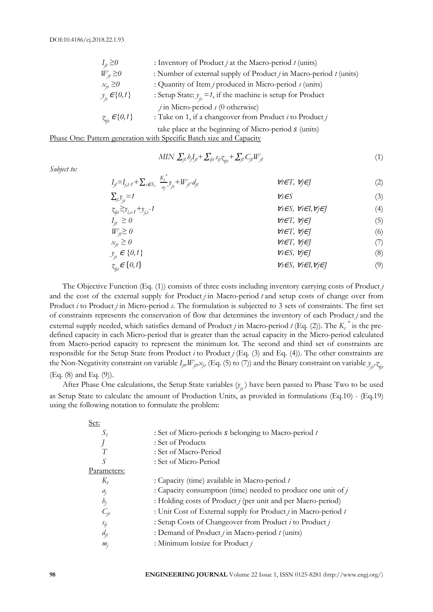*Subject to:*

| $I_{it} \geq 0$      | : Inventory of Product $j$ at the Macro-period $t$ (units)             |
|----------------------|------------------------------------------------------------------------|
| $W_{it} \geq 0$      | : Number of external supply of Product $j$ in Macro-period $t$ (units) |
| $x_{is} \geq 0$      | : Quantity of Item <i>j</i> produced in Micro-period <i>s</i> (units)  |
| $y_{i} \in \{0,1\}$  | : Setup State: $y_i = 1$ , if the machine is setup for Product         |
|                      | $j$ in Micro-period $s$ (0 otherwise)                                  |
| $z_{ij} \in \{0,1\}$ | : Take on 1, if a change over from Product $i$ to Product $j$          |
|                      | take place at the beginning of Micro-period $s$ (units)                |

Phase One: Pattern generation with Specific Batch size and Capacity

$$
MIN \sum_{j} b_j I_{jt} + \sum_{ijs} s_{ij} z_{ijs} + \sum_{j} C_{j} W_{jt}
$$
\n<sup>(1)</sup>

 $I_{jt} = I_{j,t-1} + \sum_{s \in S_t} \frac{K_s^*}{a_s}$  $\sum_{a_j}^{\prime} y_j$ *+Wjt-djt* <sup>∀</sup>*t*∈*T,* ∀*j*∈*J* (2) ∑ *y js=1 <sup>j</sup>* <sup>∀</sup>*s*∈*S* (3) *z ijs≥y i,s-1 +y v<sub>s</sub>*∈*S, ∀i*∈*I, ∀j*∈*J* (4) *Ijt ≥ 0* ∀*t*∈*T,* ∀*j*∈*J* (5) *Wt*∈*T, ∀<sub>j</sub>∈</del><i>J* (6) *xjs ≥ 0* ∀*t*∈*T,* ∀*j*∈*J* (7)  $y_{i} \in \{0,1\}$ *js* <sup>∈</sup> *{0,1}* ∀*s*∈*S,* ∀*j*∈*J* (8)  $z_{ii} \in \{0,1\}$ *ijs*<sup>∈</sup> {*0,1*}<sup>∀</sup>*s*∈*S,* ∀*i*∈*I,*∀*j*∈*J* (9)

The Objective Function (Eq. (1)) consists of three costs including inventory carrying costs of Product *j* and the cost of the external supply for Product *j* in Macro-period *t* and setup costs of change over from Product *i* to Product *j* in Micro-period *s*. The formulation is subjected to 3 sets of constraints. The first set of constraints represents the conservation of flow that determines the inventory of each Product *j* and the external supply needed, which satisfies demand of Product *j* in Macro-period *t* (Eq. (2)). The *K<sup>s</sup> \** is the predefined capacity in each Micro-period that is greater than the actual capacity in the Micro-period calculated from Macro-period capacity to represent the minimum lot. The second and third set of constraints are responsible for the Setup State from Product *i* to Product *j* (Eq. (3) and Eq. (4)). The other constraints are the Non-Negativity constraint on variable  $I_{jb}W_{jb}x_{jb}$  (Eq. (5) to (7)) and the Binary constraint on variable  $y_{jb}z_{ij}$ (Eq. (8) and Eq. (9)).

After Phase One calculations, the Setup State variables (*y js* ) have been passed to Phase Two to be used as Setup State to calculate the amount of Production Units, as provided in formulations (Eq.10) - (Eq.19) using the following notation to formulate the problem:

| Set:               |                                                                       |
|--------------------|-----------------------------------------------------------------------|
| $S_t$              | : Set of Micro-periods $s$ belonging to Macro-period $t$              |
|                    | : Set of Products                                                     |
| T                  | : Set of Macro-Period                                                 |
|                    | : Set of Micro-Period                                                 |
| Parameters:        |                                                                       |
| $K_t$              | : Capacity (time) available in Macro-period t                         |
| $a_i$              | : Capacity consumption (time) needed to produce one unit of $j$       |
| $h_i$              | : Holding costs of Product <i>j</i> (per unit and per Macro-period)   |
| $\mathcal{C}_{it}$ | : Unit Cost of External supply for Product $j$ in Macro-period $t$    |
| $s_{ij}$           | : Setup Costs of Changeover from Product <i>i</i> to Product <i>j</i> |
| $d_{it}$           | : Demand of Product $j$ in Macro-period $t$ (units)                   |
| $m_i$              | : Minimum lotsize for Product j                                       |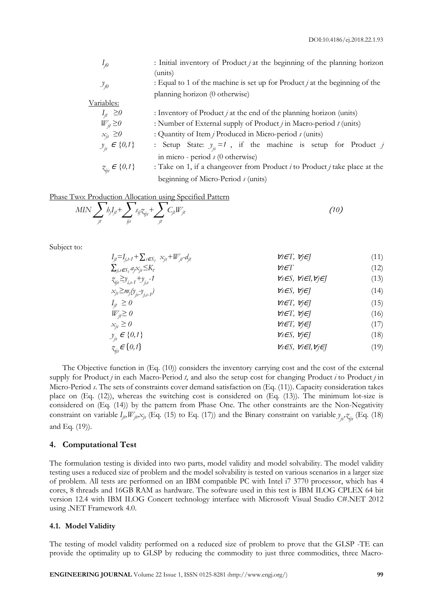| $I_{j0}$             | : Initial inventory of Product $j$ at the beginning of the planning horizon      |  |  |  |  |  |  |
|----------------------|----------------------------------------------------------------------------------|--|--|--|--|--|--|
|                      | (units)                                                                          |  |  |  |  |  |  |
| $\mathcal{Y}_{j0}$   | : Equal to 1 of the machine is set up for Product $\ell$ at the beginning of the |  |  |  |  |  |  |
|                      | planning horizon (0 otherwise)                                                   |  |  |  |  |  |  |
| Variables:           |                                                                                  |  |  |  |  |  |  |
| $I_{it} \geq 0$      | : Inventory of Product $j$ at the end of the planning horizon (units)            |  |  |  |  |  |  |
| $W_{it} \geq 0$      | : Number of External supply of Product $j$ in Macro-period $t$ (units)           |  |  |  |  |  |  |
| $x_{is} \geq 0$      | : Quantity of Item <i>j</i> Produced in Micro-period <i>s</i> (units)            |  |  |  |  |  |  |
| $y_{i} \in \{0,1\}$  | : Setup State: $y_i = 1$ , if the machine is setup for Product j                 |  |  |  |  |  |  |
|                      | in micro - period $s$ (0 otherwise)                                              |  |  |  |  |  |  |
| $z_{ij} \in \{0,1\}$ | : Take on 1, if a changeover from Product $i$ to Product $j$ take place at the   |  |  |  |  |  |  |
|                      | beginning of Micro-Period $s$ (units)                                            |  |  |  |  |  |  |

Phase Two: Production Allocation using Specified Pattern

$$
MIN \sum_{j\iota} b_j I_{j\iota} + \sum_{j\jota} s_{j\iota} z_{j\iota} + \sum_{j\iota} C_{j\iota} W_{j\iota}
$$
 (10)

Subject to:

| $I_{ji} = I_{j,t+1} + \sum_{s \in S_t} x_{js} + W_{jt} - d_{jt}$ | $tr \in T$ , $\forall j \in J$ | (11) |
|------------------------------------------------------------------|--------------------------------|------|
| $\sum_{j,s \in S_t} a_j x_{js} \leq K_t$                         | $tr \in T$                     | (12) |
| $\tilde{x}_{ji} \geq y_{i,s-1} + y_{j,s} - 1$                    | $tr \in T$                     | (13) |
| $x_{ji} \geq m_j(y_{js} - y_{j,s-1})$                            | $tr \in T$ , $\forall j \in J$ | (14) |
| $I_{ji} \geq 0$                                                  | $tr \in T$ , $\forall j \in J$ | (15) |
| $W_{ji} \geq 0$                                                  | $tr \in T$ , $\forall j \in J$ | (16) |
| $x_{js} \geq 0$                                                  | $tr \in T$ , $\forall j \in J$ | (17) |
| $y_{js} \in \{0,1\}$                                             | $tr \in T$ , $\forall j \in J$ | (18) |
| $\tilde{x}_{ij} \in \{0,1\}$                                     | $tr \in T$ , $\forall j \in J$ | (19) |

The Objective function in (Eq. (10)) considers the inventory carrying cost and the cost of the external supply for Product *j* in each Macro-Period *t*, and also the setup cost for changing Product *i* to Product *j* in Micro-Period *s*. The sets of constraints cover demand satisfaction on (Eq. (11)). Capacity consideration takes place on (Eq. (12)), whereas the switching cost is considered on (Eq. (13)). The minimum lot-size is considered on (Eq. (14)) by the pattern from Phase One. The other constraints are the Non-Negativity constraint on variable  $I_{j}$ ,  $W_{j}$ ,  $X_{j}$ , (Eq. (15) to Eq. (17)) and the Binary constraint on variable  $y_{j}$ ,  $z_{ij}$ , (Eq. (18) and Eq. (19)).

#### **4. Computational Test**

The formulation testing is divided into two parts, model validity and model solvability. The model validity testing uses a reduced size of problem and the model solvability is tested on various scenarios in a larger size of problem. All tests are performed on an IBM compatible PC with Intel i7 3770 processor, which has 4 cores, 8 threads and 16GB RAM as hardware. The software used in this test is IBM ILOG CPLEX 64 bit version 12.4 with IBM ILOG Concert technology interface with Microsoft Visual Studio C#.NET 2012 using .NET Framework 4.0.

#### **4.1. Model Validity**

The testing of model validity performed on a reduced size of problem to prove that the GLSP -TE can provide the optimality up to GLSP by reducing the commodity to just three commodities, three Macro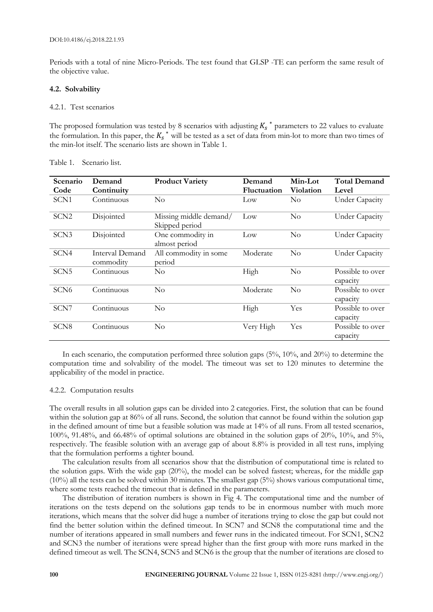Periods with a total of nine Micro-Periods. The test found that GLSP -TE can perform the same result of the objective value.

#### **4.2. Solvability**

#### 4.2.1. Test scenarios

The proposed formulation was tested by 8 scenarios with adjusting  $K_s^*$  parameters to 22 values to evaluate the formulation. In this paper, the  $K_s^*$  will be tested as a set of data from min-lot to more than two times of the min-lot itself. The scenario lists are shown in Table 1.

| Scenario         | Demand                       | <b>Product Variety</b>                   | Demand             | Min-Lot   | <b>Total Demand</b>          |
|------------------|------------------------------|------------------------------------------|--------------------|-----------|------------------------------|
| Code             | Continuity                   |                                          | <b>Fluctuation</b> | Violation | Level                        |
| SCN1             | Continuous                   | $\rm No$                                 | Low                | $\rm No$  | <b>Under Capacity</b>        |
| SCN <sub>2</sub> | Disjointed                   | Missing middle demand/<br>Skipped period | Low                | $\rm No$  | <b>Under Capacity</b>        |
| SCN <sub>3</sub> | Disjointed                   | One commodity in<br>almost period        | Low                | No        | <b>Under Capacity</b>        |
| SCN4             | Interval Demand<br>commodity | All commodity in some<br>period          | Moderate           | No        | <b>Under Capacity</b>        |
| SCN <sub>5</sub> | Continuous                   | No                                       | High               | No        | Possible to over<br>capacity |
| SCN <sub>6</sub> | Continuous                   | $\rm No$                                 | Moderate           | No        | Possible to over<br>capacity |
| SCN7             | Continuous                   | $\rm No$                                 | High               | Yes       | Possible to over<br>capacity |
| SCN <sub>8</sub> | Continuous                   | $\rm No$                                 | Very High          | Yes       | Possible to over<br>capacity |

Table 1. Scenario list.

In each scenario, the computation performed three solution gaps (5%, 10%, and 20%) to determine the computation time and solvability of the model. The timeout was set to 120 minutes to determine the applicability of the model in practice.

#### 4.2.2. Computation results

The overall results in all solution gaps can be divided into 2 categories. First, the solution that can be found within the solution gap at 86% of all runs. Second, the solution that cannot be found within the solution gap in the defined amount of time but a feasible solution was made at 14% of all runs. From all tested scenarios, 100%, 91.48%, and 66.48% of optimal solutions are obtained in the solution gaps of 20%, 10%, and 5%, respectively. The feasible solution with an average gap of about 8.8% is provided in all test runs, implying that the formulation performs a tighter bound.

The calculation results from all scenarios show that the distribution of computational time is related to the solution gaps. With the wide gap (20%), the model can be solved fastest; whereas, for the middle gap (10%) all the tests can be solved within 30 minutes. The smallest gap (5%) shows various computational time, where some tests reached the timeout that is defined in the parameters.

The distribution of iteration numbers is shown in Fig 4. The computational time and the number of iterations on the tests depend on the solutions gap tends to be in enormous number with much more iterations, which means that the solver did huge a number of iterations trying to close the gap but could not find the better solution within the defined timeout. In SCN7 and SCN8 the computational time and the number of iterations appeared in small numbers and fewer runs in the indicated timeout. For SCN1, SCN2 and SCN3 the number of iterations were spread higher than the first group with more runs marked in the defined timeout as well. The SCN4, SCN5 and SCN6 is the group that the number of iterations are closed to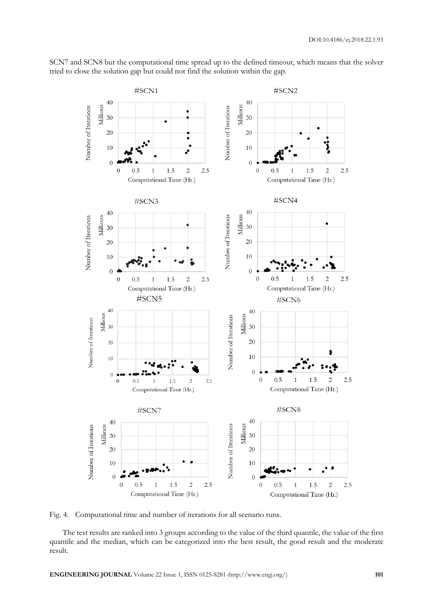

SCN7 and SCN8 but the computational time spread up to the defined timeout, which means that the solver tried to close the solution gap but could not find the solution within the gap.

Fig. 4. Computational time and number of iterations for all scenario runs.

The test results are ranked into 3 groups according to the value of the third quantile, the value of the first quantile and the median, which can be categorized into the best result, the good result and the moderate result.

**ENGINEERING JOURNAL** Volume 22 Issue 1, ISSN 0125-8281 (http://www.engj.org/) **101**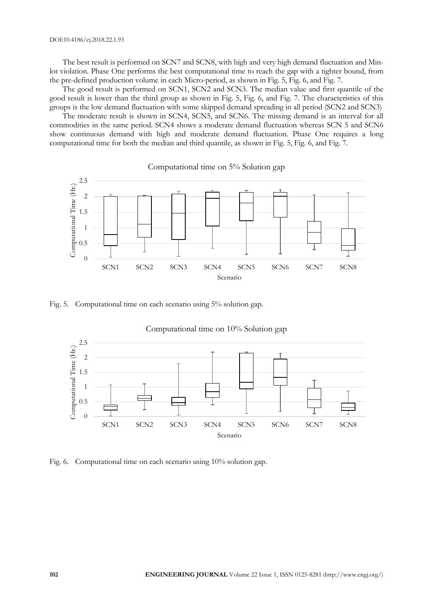The best result is performed on SCN7 and SCN8, with high and very high demand fluctuation and Minlot violation. Phase One performs the best computational time to reach the gap with a tighter bound, from the pre-defined production volume in each Micro-period, as shown in Fig. 5, Fig. 6, and Fig. 7.

The good result is performed on SCN1, SCN2 and SCN3. The median value and first quantile of the good result is lower than the third group as shown in Fig. 5, Fig. 6, and Fig. 7. The characteristics of this groups is the low demand fluctuation with some skipped demand spreading in all period (SCN2 and SCN3)

The moderate result is shown in SCN4, SCN5, and SCN6. The missing demand is an interval for all commodities in the same period. SCN4 shows a moderate demand fluctuation whereas SCN 5 and SCN6 show continuous demand with high and moderate demand fluctuation. Phase One requires a long computational time for both the median and third quantile, as shown in Fig. 5, Fig. 6, and Fig. 7.



Fig. 5. Computational time on each scenario using 5% solution gap.



Fig. 6. Computational time on each scenario using 10% solution gap.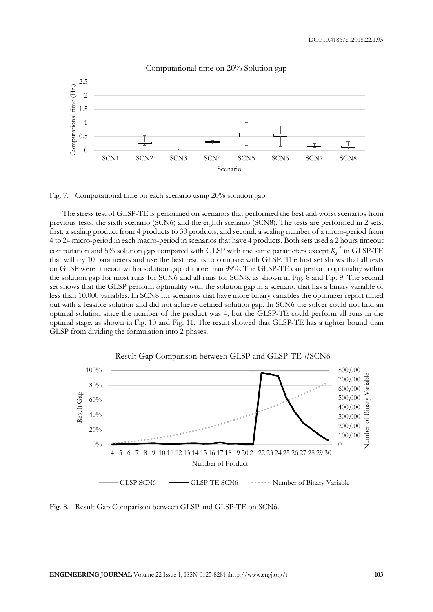

Computational time on 20% Solution gap

Fig. 7. Computational time on each scenario using 20% solution gap.

The stress test of GLSP-TE is performed on scenarios that performed the best and worst scenarios from previous tests, the sixth scenario (SCN6) and the eighth scenario (SCN8). The tests are performed in 2 sets, first, a scaling product from 4 products to 30 products, and second, a scaling number of a micro-period from 4 to 24 micro-period in each macro-period in scenarios that have 4 products. Both sets used a 2 hours timeout computation and 5% solution gap compared with GLSP with the same parameters except *K<sup>s</sup> \** in GLSP-TE that will try 10 parameters and use the best results to compare with GLSP. The first set shows that all tests on GLSP were timeout with a solution gap of more than 99%. The GLSP-TE can perform optimality within the solution gap for most runs for SCN6 and all runs for SCN8, as shown in Fig. 8 and Fig. 9. The second set shows that the GLSP perform optimality with the solution gap in a scenario that has a binary variable of less than 10,000 variables. In SCN8 for scenarios that have more binary variables the optimizer report timed out with a feasible solution and did not achieve defined solution gap. In SCN6 the solver could not find an optimal solution since the number of the product was 4, but the GLSP-TE could perform all runs in the optimal stage, as shown in Fig. 10 and Fig. 11. The result showed that GLSP-TE has a tighter bound than GLSP from dividing the formulation into 2 phases.



Fig. 8. Result Gap Comparison between GLSP and GLSP-TE on SCN6.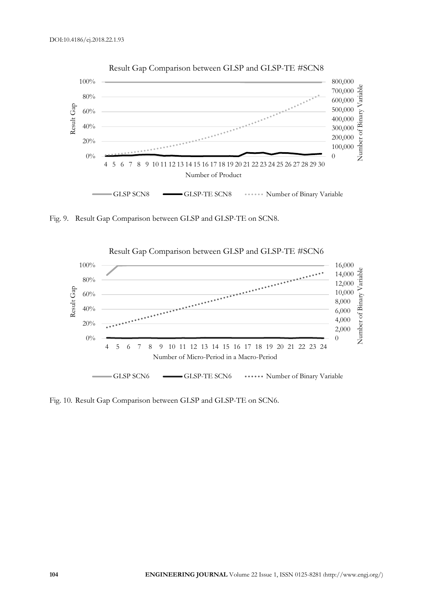



Fig. 9. Result Gap Comparison between GLSP and GLSP-TE on SCN8.



Fig. 10. Result Gap Comparison between GLSP and GLSP-TE on SCN6.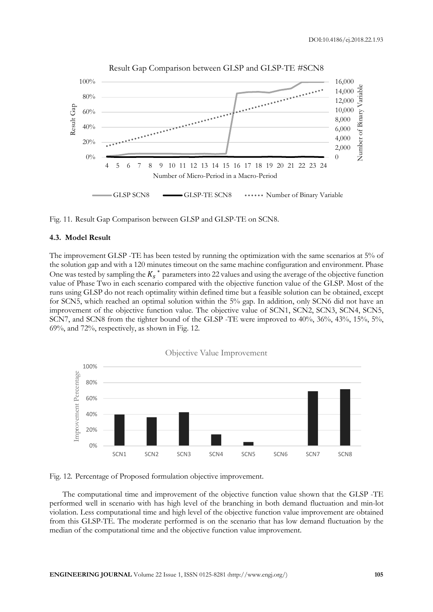

Result Gap Comparison between GLSP and GLSP-TE #SCN8

Fig. 11. Result Gap Comparison between GLSP and GLSP-TE on SCN8.

#### **4.3. Model Result**

The improvement GLSP -TE has been tested by running the optimization with the same scenarios at 5% of the solution gap and with a 120 minutes timeout on the same machine configuration and environment. Phase One was tested by sampling the  $K_s$ <sup>\*</sup> parameters into 22 values and using the average of the objective function value of Phase Two in each scenario compared with the objective function value of the GLSP. Most of the runs using GLSP do not reach optimality within defined time but a feasible solution can be obtained, except for SCN5, which reached an optimal solution within the 5% gap. In addition, only SCN6 did not have an improvement of the objective function value. The objective value of SCN1, SCN2, SCN3, SCN4, SCN5, SCN7, and SCN8 from the tighter bound of the GLSP -TE were improved to 40%, 36%, 43%, 15%, 5%, 69%, and 72%, respectively, as shown in Fig. 12.



Fig. 12. Percentage of Proposed formulation objective improvement.

The computational time and improvement of the objective function value shown that the GLSP -TE performed well in scenario with has high level of the branching in both demand fluctuation and min-lot violation. Less computational time and high level of the objective function value improvement are obtained from this GLSP-TE. The moderate performed is on the scenario that has low demand fluctuation by the median of the computational time and the objective function value improvement.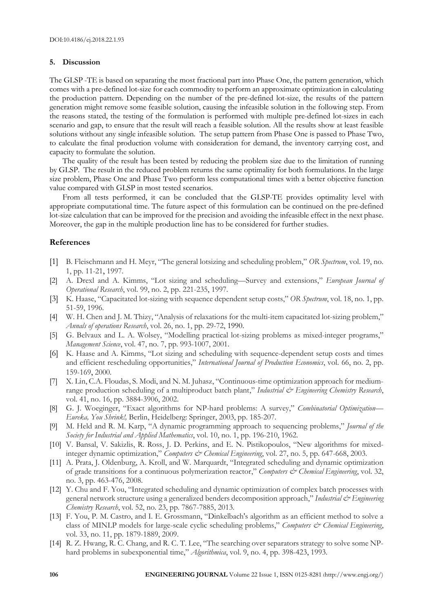#### **5. Discussion**

The GLSP -TE is based on separating the most fractional part into Phase One, the pattern generation, which comes with a pre-defined lot-size for each commodity to perform an approximate optimization in calculating the production pattern. Depending on the number of the pre-defined lot-size, the results of the pattern generation might remove some feasible solution, causing the infeasible solution in the following step. From the reasons stated, the testing of the formulation is performed with multiple pre-defined lot-sizes in each scenario and gap, to ensure that the result will reach a feasible solution. All the results show at least feasible solutions without any single infeasible solution. The setup pattern from Phase One is passed to Phase Two, to calculate the final production volume with consideration for demand, the inventory carrying cost, and capacity to formulate the solution.

The quality of the result has been tested by reducing the problem size due to the limitation of running by GLSP. The result in the reduced problem returns the same optimality for both formulations. In the large size problem, Phase One and Phase Two perform less computational times with a better objective function value compared with GLSP in most tested scenarios.

From all tests performed, it can be concluded that the GLSP-TE provides optimality level with appropriate computational time. The future aspect of this formulation can be continued on the pre-defined lot-size calculation that can be improved for the precision and avoiding the infeasible effect in the next phase. Moreover, the gap in the multiple production line has to be considered for further studies.

#### **References**

- [1] B. Fleischmann and H. Meyr, "The general lotsizing and scheduling problem," *OR Spectrum*, vol. 19, no. 1, pp. 11-21, 1997.
- [2] A. Drexl and A. Kimms, "Lot sizing and scheduling—Survey and extensions," *European Journal of Operational Research*, vol. 99, no. 2, pp. 221-235, 1997.
- [3] K. Haase, "Capacitated lot-sizing with sequence dependent setup costs," *OR Spectrum*, vol. 18, no. 1, pp. 51-59, 1996.
- [4] W. H. Chen and J. M. Thizy, "Analysis of relaxations for the multi-item capacitated lot-sizing problem," *Annals of operations Research*, vol. 26, no. 1, pp. 29-72, 1990.
- [5] G. Belvaux and L. A. Wolsey, "Modelling practical lot-sizing problems as mixed-integer programs," *Management Science*, vol. 47, no. 7, pp. 993-1007, 2001.
- [6] K. Haase and A. Kimms, "Lot sizing and scheduling with sequence-dependent setup costs and times and efficient rescheduling opportunities," *International Journal of Production Economics*, vol. 66, no. 2, pp. 159-169, 2000.
- [7] X. Lin, C.A. Floudas, S. Modi, and N. M. Juhasz, "Continuous-time optimization approach for mediumrange production scheduling of a multiproduct batch plant," *Industrial & Engineering Chemistry Research*, vol. 41, no. 16, pp. 3884-3906, 2002.
- [8] G. J. Woeginger, "Exact algorithms for NP-hard problems: A survey," *Combinatorial Optimization— Eureka, You Shrink!,* Berlin, Heidelberg: Springer, 2003, pp. 185-207.
- [9] M. Held and R. M. Karp, "A dynamic programming approach to sequencing problems," *Journal of the Society for Industrial and Applied Mathematics*, vol. 10, no. 1, pp. 196-210, 1962.
- [10] V. Bansal, V. Sakizlis, R. Ross, J. D. Perkins, and E. N. Pistikopoulos, "New algorithms for mixedinteger dynamic optimization," *Computers & Chemical Engineering*, vol. 27, no. 5, pp. 647-668, 2003.
- [11] A. Prata, J. Oldenburg, A. Kroll, and W. Marquardt, "Integrated scheduling and dynamic optimization of grade transitions for a continuous polymerization reactor," *Computers & Chemical Engineering*, vol. 32, no. 3, pp. 463-476, 2008.
- [12] Y. Chu and F. You, "Integrated scheduling and dynamic optimization of complex batch processes with general network structure using a generalized benders decomposition approach," *Industrial & Engineering Chemistry Research*, vol. 52, no. 23, pp. 7867-7885, 2013.
- [13] F. You, P. M. Castro, and I. E. Grossmann, "Dinkelbach's algorithm as an efficient method to solve a class of MINLP models for large-scale cyclic scheduling problems," Computers & Chemical Engineering, vol. 33, no. 11, pp. 1879-1889, 2009.
- [14] R. Z. Hwang, R. C. Chang, and R. C. T. Lee, "The searching over separators strategy to solve some NPhard problems in subexponential time," *Algorithmica*, vol. 9, no. 4, pp. 398-423, 1993.